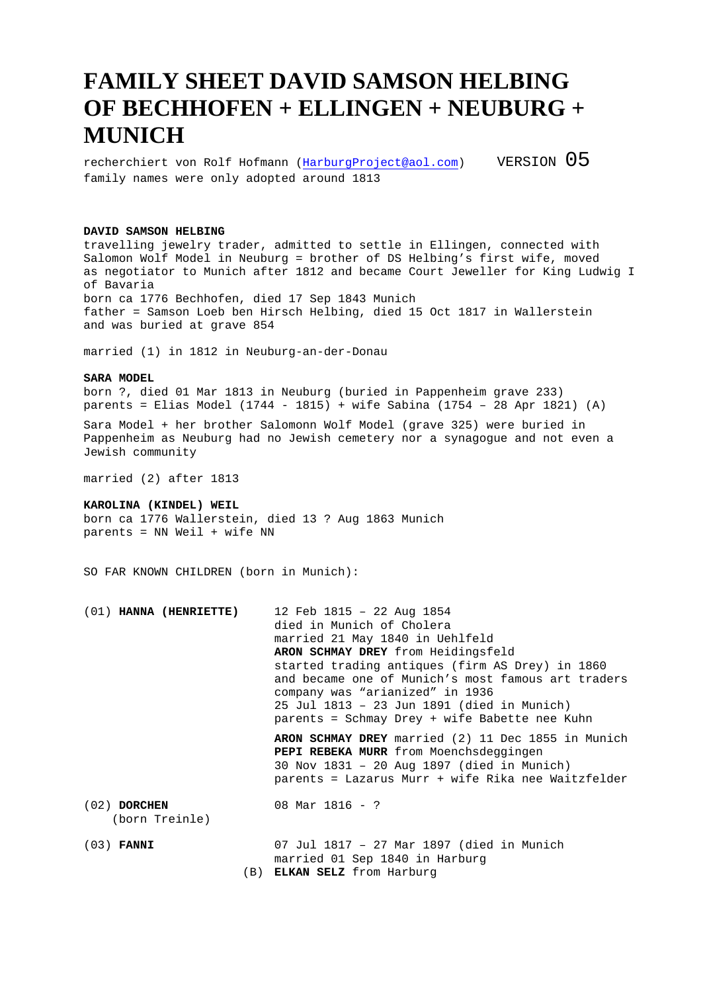## **FAMILY SHEET DAVID SAMSON HELBING OF BECHHOFEN + ELLINGEN + NEUBURG + MUNICH**

recherchiert von Rolf Hofmann (HarburgProject@aol.com) VERSION  $05$ family names were only adopted around 1813

## **DAVID SAMSON HELBING**

travelling jewelry trader, admitted to settle in Ellingen, connected with Salomon Wolf Model in Neuburg = brother of DS Helbing's first wife, moved as negotiator to Munich after 1812 and became Court Jeweller for King Ludwig I of Bavaria born ca 1776 Bechhofen, died 17 Sep 1843 Munich father = Samson Loeb ben Hirsch Helbing, died 15 Oct 1817 in Wallerstein and was buried at grave 854

married (1) in 1812 in Neuburg-an-der-Donau

## **SARA MODEL**

born ?, died 01 Mar 1813 in Neuburg (buried in Pappenheim grave 233) parents = Elias Model (1744 - 1815) + wife Sabina (1754 – 28 Apr 1821) (A)

Sara Model + her brother Salomonn Wolf Model (grave 325) were buried in Pappenheim as Neuburg had no Jewish cemetery nor a synagogue and not even a Jewish community

married (2) after 1813

## **KAROLINA (KINDEL) WEIL**

born ca 1776 Wallerstein, died 13 ? Aug 1863 Munich parents = NN Weil + wife NN

SO FAR KNOWN CHILDREN (born in Munich):

| $(01)$ HANNA (HENRIETTE)         | 12 Feb 1815 - 22 Aug 1854<br>died in Munich of Cholera<br>married 21 May 1840 in Uehlfeld<br>ARON SCHMAY DREY from Heidingsfeld<br>started trading antiques (firm AS Drey) in 1860<br>and became one of Munich's most famous art traders<br>company was "arianized" in 1936<br>25 Jul 1813 - 23 Jun 1891 (died in Munich)<br>parents = Schmay Drey + wife Babette nee Kuhn |
|----------------------------------|----------------------------------------------------------------------------------------------------------------------------------------------------------------------------------------------------------------------------------------------------------------------------------------------------------------------------------------------------------------------------|
|                                  | ARON SCHMAY DREY married (2) 11 Dec 1855 in Munich<br><b>PEPI REBEKA MURR</b> from Moenchsdeggingen<br>30 Nov 1831 - 20 Aug 1897 (died in Munich)<br>parents = Lazarus Murr + wife Rika nee Waitzfelder                                                                                                                                                                    |
| $(02)$ DORCHEN<br>(born Treinle) | 08 Mar $1816 - ?$                                                                                                                                                                                                                                                                                                                                                          |
| $(03)$ FANNI                     | 07 Jul 1817 - 27 Mar 1897 (died in Munich                                                                                                                                                                                                                                                                                                                                  |

married 01 Sep 1840 in Harburg

(B) **ELKAN SELZ** from Harburg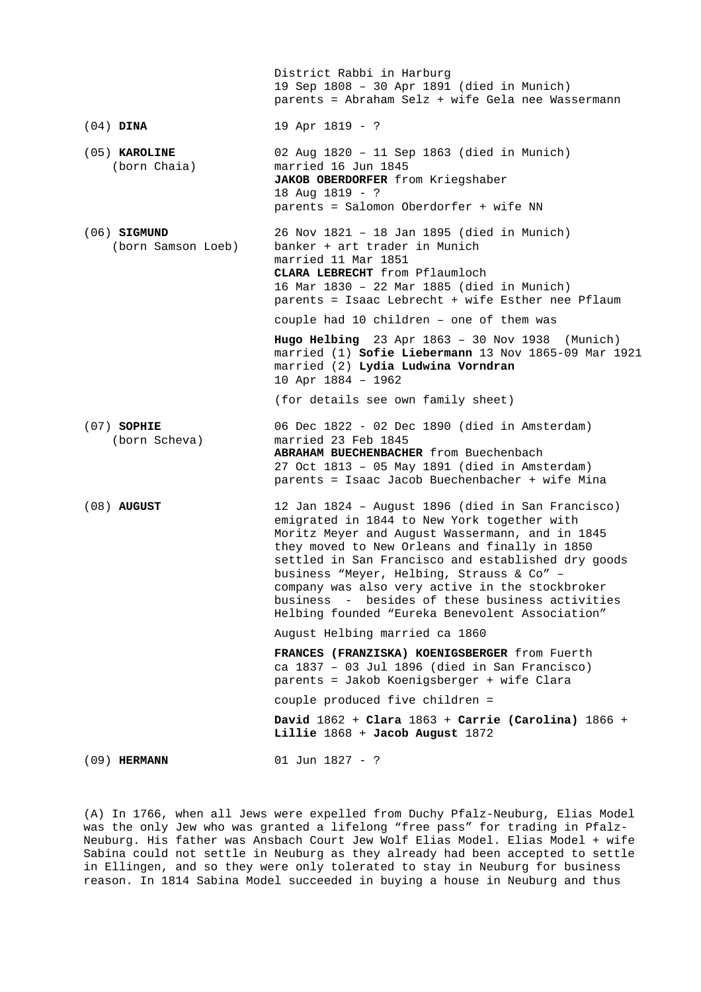|                                      | District Rabbi in Harburg<br>19 Sep 1808 - 30 Apr 1891 (died in Munich)<br>parents = Abraham Selz + wife Gela nee Wassermann                                                                                                                                                                                                                                                                                                                                     |
|--------------------------------------|------------------------------------------------------------------------------------------------------------------------------------------------------------------------------------------------------------------------------------------------------------------------------------------------------------------------------------------------------------------------------------------------------------------------------------------------------------------|
| $(04)$ DINA                          | 19 Apr 1819 - ?                                                                                                                                                                                                                                                                                                                                                                                                                                                  |
| $(05)$ KAROLINE<br>(born Chaia)      | 02 Aug 1820 - 11 Sep 1863 (died in Munich)<br>married 16 Jun 1845<br>JAKOB OBERDORFER from Kriegshaber<br>18 Aug 1819 - ?<br>parents = Salomon Oberdorfer + wife NN                                                                                                                                                                                                                                                                                              |
| $(06)$ SIGMUND<br>(born Samson Loeb) | 26 Nov 1821 - 18 Jan 1895 (died in Munich)<br>banker + art trader in Munich<br>married 11 Mar 1851<br>CLARA LEBRECHT from Pflaumloch<br>16 Mar 1830 - 22 Mar 1885 (died in Munich)<br>parents = Isaac Lebrecht + wife Esther nee Pflaum<br>couple had 10 children - one of them was                                                                                                                                                                              |
|                                      | Hugo Helbing $23$ Apr $1863 - 30$ Nov $1938$ (Munich)<br>married (1) Sofie Liebermann 13 Nov 1865-09 Mar 1921<br>married (2) Lydia Ludwina Vorndran<br>10 Apr 1884 - 1962                                                                                                                                                                                                                                                                                        |
|                                      | (for details see own family sheet)                                                                                                                                                                                                                                                                                                                                                                                                                               |
| $(07)$ SOPHIE<br>(born Scheva)       | 06 Dec 1822 - 02 Dec 1890 (died in Amsterdam)<br>married 23 Feb 1845<br>ABRAHAM BUECHENBACHER from Buechenbach<br>27 Oct 1813 - 05 May 1891 (died in Amsterdam)<br>parents = Isaac Jacob Buechenbacher + wife Mina                                                                                                                                                                                                                                               |
| $(08)$ AUGUST                        | 12 Jan 1824 - August 1896 (died in San Francisco)<br>emigrated in 1844 to New York together with<br>Moritz Meyer and August Wassermann, and in 1845<br>they moved to New Orleans and finally in 1850<br>settled in San Francisco and established dry goods<br>business "Meyer, Helbing, Strauss & Co" -<br>company was also very active in the stockbroker<br>business - besides of these business activities<br>Helbing founded "Eureka Benevolent Association" |
|                                      | August Helbing married ca 1860                                                                                                                                                                                                                                                                                                                                                                                                                                   |
|                                      | FRANCES (FRANZISKA) KOENIGSBERGER from Fuerth<br>ca $1837 - 03$ Jul $1896$ (died in San Francisco)<br>parents = Jakob Koenigsberger + wife Clara                                                                                                                                                                                                                                                                                                                 |
|                                      | couple produced five children =                                                                                                                                                                                                                                                                                                                                                                                                                                  |
|                                      | David $1862 +$ Clara $1863 +$ Carrie (Carolina) $1866 +$<br>Lillie 1868 + Jacob August 1872                                                                                                                                                                                                                                                                                                                                                                      |
| $(09)$ HERMANN                       | 01 Jun 1827 - ?                                                                                                                                                                                                                                                                                                                                                                                                                                                  |

(A) In 1766, when all Jews were expelled from Duchy Pfalz-Neuburg, Elias Model was the only Jew who was granted a lifelong "free pass" for trading in Pfalz-Neuburg. His father was Ansbach Court Jew Wolf Elias Model. Elias Model + wife Sabina could not settle in Neuburg as they already had been accepted to settle in Ellingen, and so they were only tolerated to stay in Neuburg for business reason. In 1814 Sabina Model succeeded in buying a house in Neuburg and thus